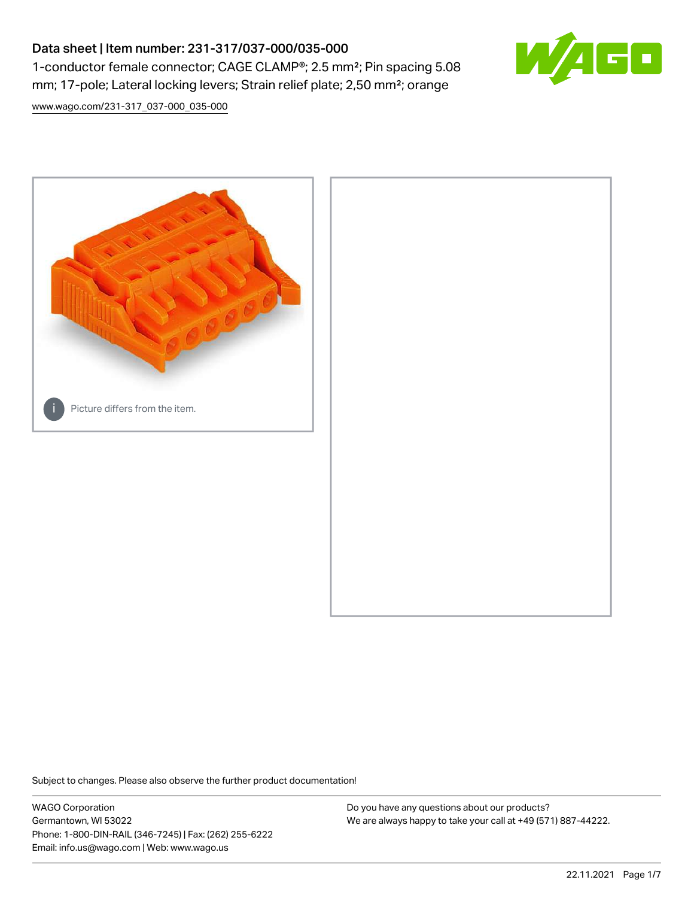# Data sheet | Item number: 231-317/037-000/035-000 1-conductor female connector; CAGE CLAMP®; 2.5 mm²; Pin spacing 5.08 mm; 17-pole; Lateral locking levers; Strain relief plate; 2,50 mm²; orange



[www.wago.com/231-317\\_037-000\\_035-000](http://www.wago.com/231-317_037-000_035-000)



Subject to changes. Please also observe the further product documentation!

WAGO Corporation Germantown, WI 53022 Phone: 1-800-DIN-RAIL (346-7245) | Fax: (262) 255-6222 Email: info.us@wago.com | Web: www.wago.us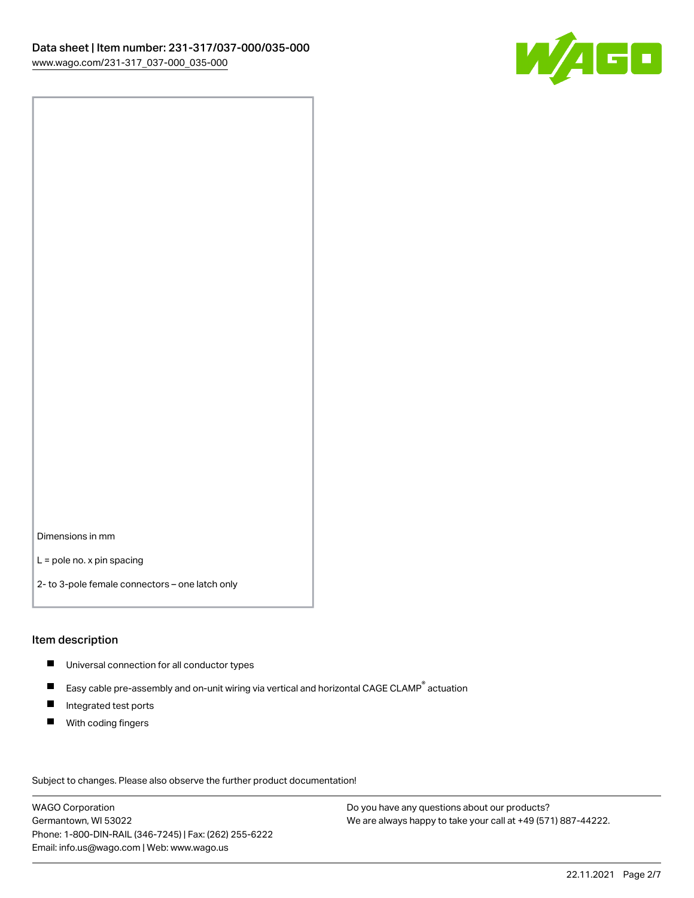

Dimensions in mm

L = pole no. x pin spacing

2- to 3-pole female connectors – one latch only

## Item description

- **Universal connection for all conductor types**
- Easy cable pre-assembly and on-unit wiring via vertical and horizontal CAGE CLAMP<sup>®</sup> actuation  $\blacksquare$
- $\blacksquare$ Integrated test ports
- $\blacksquare$ With coding fingers

Subject to changes. Please also observe the further product documentation! Data

WAGO Corporation Germantown, WI 53022 Phone: 1-800-DIN-RAIL (346-7245) | Fax: (262) 255-6222 Email: info.us@wago.com | Web: www.wago.us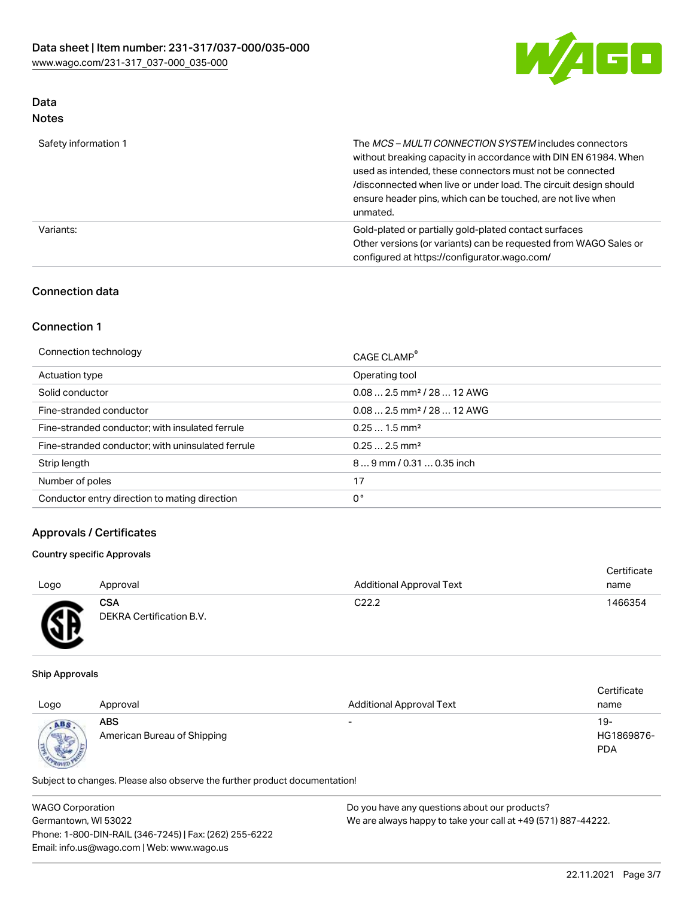

#### Data Notes

| าบเธร |  |
|-------|--|
|       |  |
|       |  |

| Safety information 1 | The MCS-MULTI CONNECTION SYSTEM includes connectors<br>without breaking capacity in accordance with DIN EN 61984. When<br>used as intended, these connectors must not be connected<br>/disconnected when live or under load. The circuit design should<br>ensure header pins, which can be touched, are not live when<br>unmated. |
|----------------------|-----------------------------------------------------------------------------------------------------------------------------------------------------------------------------------------------------------------------------------------------------------------------------------------------------------------------------------|
| Variants:            | Gold-plated or partially gold-plated contact surfaces<br>Other versions (or variants) can be requested from WAGO Sales or<br>configured at https://configurator.wago.com/                                                                                                                                                         |

# Connection data

# Connection 1

| Connection technology                             | CAGE CLAMP <sup>®</sup>                 |
|---------------------------------------------------|-----------------------------------------|
| Actuation type                                    | Operating tool                          |
| Solid conductor                                   | $0.08$ 2.5 mm <sup>2</sup> / 28  12 AWG |
| Fine-stranded conductor                           | $0.082.5$ mm <sup>2</sup> / 28  12 AWG  |
| Fine-stranded conductor; with insulated ferrule   | $0.251.5$ mm <sup>2</sup>               |
| Fine-stranded conductor; with uninsulated ferrule | $0.252.5$ mm <sup>2</sup>               |
| Strip length                                      | $89$ mm / 0.31  0.35 inch               |
| Number of poles                                   | 17                                      |
| Conductor entry direction to mating direction     | 0°                                      |

# Approvals / Certificates

## Country specific Approvals

| Logo                       | Approval                               | <b>Additional Approval Text</b> | Certificate<br>name |
|----------------------------|----------------------------------------|---------------------------------|---------------------|
| Æ<br>$\tilde{\phantom{a}}$ | <b>CSA</b><br>DEKRA Certification B.V. | C <sub>22.2</sub>               | 1466354             |

## Ship Approvals

| Logo                     | Approval                                  | <b>Additional Approval Text</b> | Certificate<br>name               |
|--------------------------|-------------------------------------------|---------------------------------|-----------------------------------|
| ABS<br><b>CONTRACTOR</b> | <b>ABS</b><br>American Bureau of Shipping | $\overline{\phantom{0}}$        | $19-$<br>HG1869876-<br><b>PDA</b> |

Subject to changes. Please also observe the further product documentation!

| <b>WAGO Corporation</b>                                | Do you have any questions about our products?                 |
|--------------------------------------------------------|---------------------------------------------------------------|
| Germantown, WI 53022                                   | We are always happy to take your call at +49 (571) 887-44222. |
| Phone: 1-800-DIN-RAIL (346-7245)   Fax: (262) 255-6222 |                                                               |
| Email: info.us@wago.com   Web: www.wago.us             |                                                               |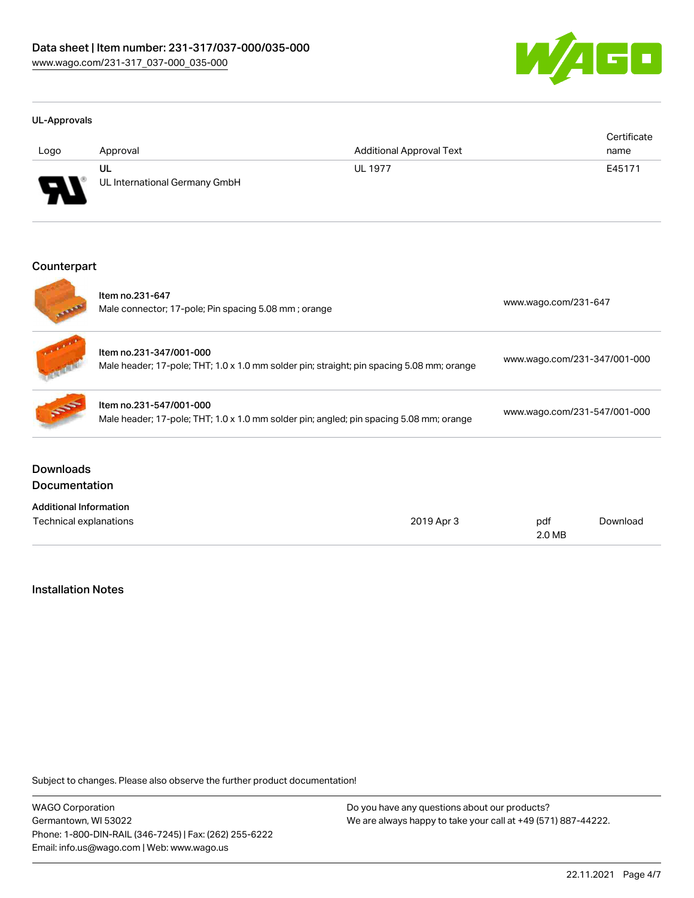

#### UL-Approvals

| Logo   | Approval                            | <b>Additional Approval Text</b> | Certificate<br>name |
|--------|-------------------------------------|---------------------------------|---------------------|
| J<br>w | UL<br>UL International Germany GmbH | <b>UL 1977</b>                  | E45171              |

#### Counterpart

|                                          | Item no.231-647<br>Male connector; 17-pole; Pin spacing 5.08 mm; orange                                              |               | www.wago.com/231-647         |  |  |
|------------------------------------------|----------------------------------------------------------------------------------------------------------------------|---------------|------------------------------|--|--|
|                                          | Item no.231-347/001-000<br>Male header; 17-pole; THT; 1.0 x 1.0 mm solder pin; straight; pin spacing 5.08 mm; orange |               | www.wago.com/231-347/001-000 |  |  |
|                                          | Item no.231-547/001-000<br>Male header; 17-pole; THT; 1.0 x 1.0 mm solder pin; angled; pin spacing 5.08 mm; orange   |               | www.wago.com/231-547/001-000 |  |  |
| <b>Downloads</b><br><b>Documentation</b> |                                                                                                                      |               |                              |  |  |
| <b>Additional Information</b>            |                                                                                                                      |               |                              |  |  |
| 2019 Apr 3<br>Technical explanations     |                                                                                                                      | pdf<br>2.0 MB | Download                     |  |  |

#### Installation Notes

Subject to changes. Please also observe the further product documentation!

WAGO Corporation Germantown, WI 53022 Phone: 1-800-DIN-RAIL (346-7245) | Fax: (262) 255-6222 Email: info.us@wago.com | Web: www.wago.us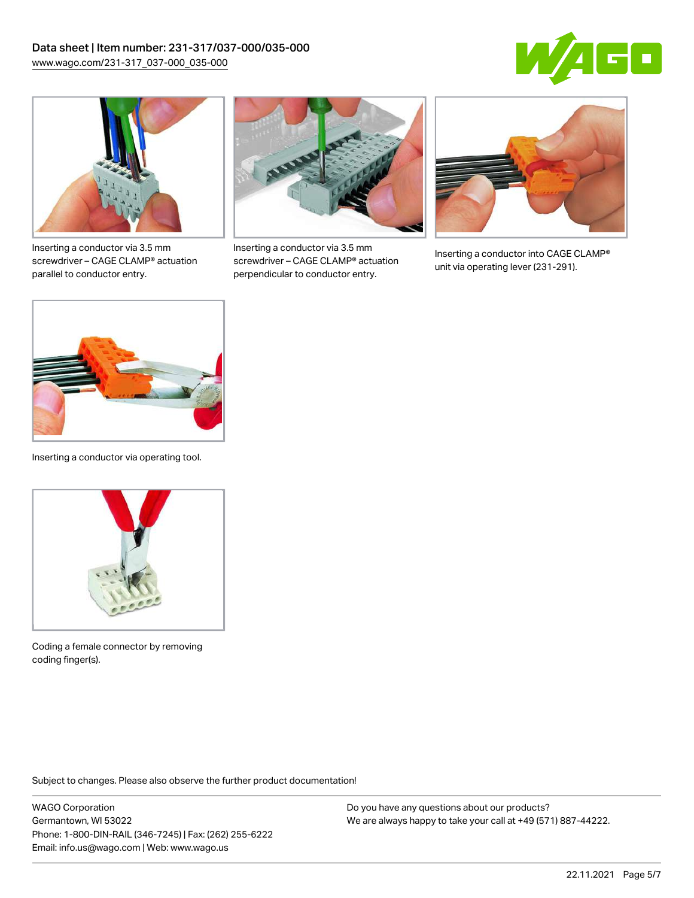



Inserting a conductor via 3.5 mm screwdriver – CAGE CLAMP® actuation parallel to conductor entry.



Inserting a conductor via 3.5 mm screwdriver – CAGE CLAMP® actuation perpendicular to conductor entry.



Inserting a conductor into CAGE CLAMP® unit via operating lever (231-291).



Inserting a conductor via operating tool.



Coding a female connector by removing coding finger(s).

Subject to changes. Please also observe the further product documentation!

WAGO Corporation Germantown, WI 53022 Phone: 1-800-DIN-RAIL (346-7245) | Fax: (262) 255-6222 Email: info.us@wago.com | Web: www.wago.us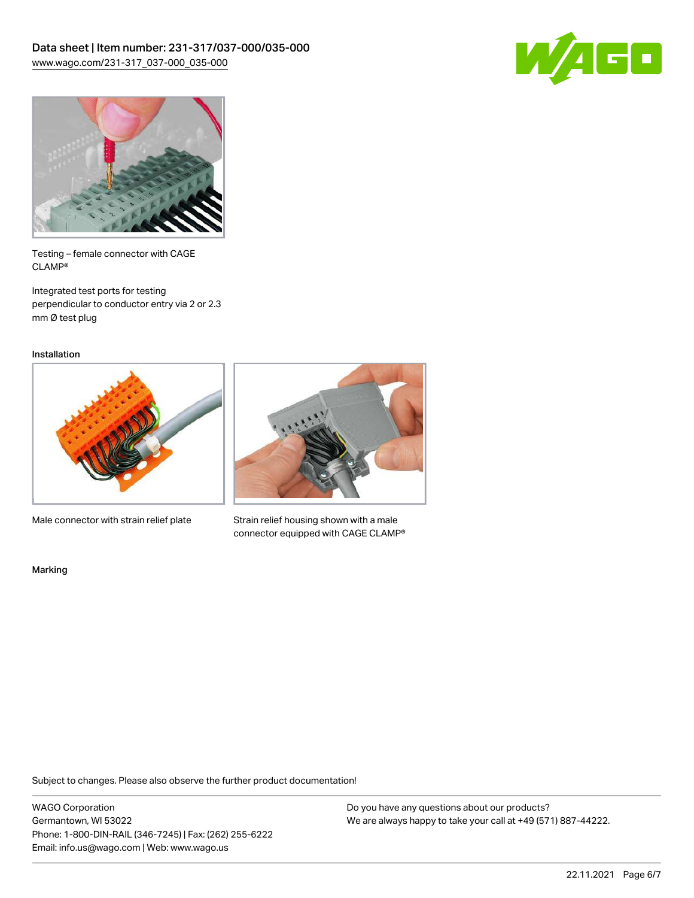



Testing – female connector with CAGE CLAMP®

Integrated test ports for testing perpendicular to conductor entry via 2 or 2.3 mm Ø test plug

Installation



Male connector with strain relief plate



Strain relief housing shown with a male connector equipped with CAGE CLAMP®

Marking

Subject to changes. Please also observe the further product documentation!

WAGO Corporation Germantown, WI 53022 Phone: 1-800-DIN-RAIL (346-7245) | Fax: (262) 255-6222 Email: info.us@wago.com | Web: www.wago.us